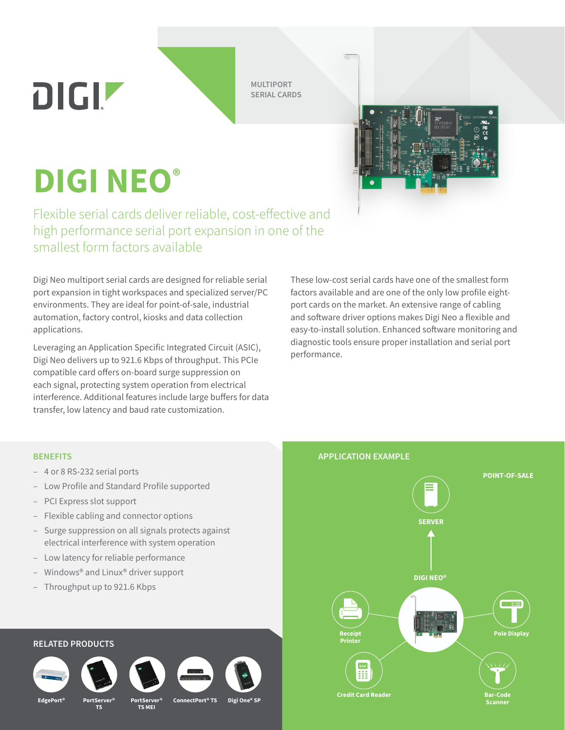**MULTIPORT SERIAL CARDS**

**DIGI NEO®**

DIGIZ

Flexible serial cards deliver reliable, cost-effective and high performance serial port expansion in one of the smallest form factors available

Digi Neo multiport serial cards are designed for reliable serial port expansion in tight workspaces and specialized server/PC environments. They are ideal for point-of-sale, industrial automation, factory control, kiosks and data collection applications.

Leveraging an Application Specific Integrated Circuit (ASIC), Digi Neo delivers up to 921.6 Kbps of throughput. This PCIe compatible card offers on-board surge suppression on each signal, protecting system operation from electrical interference. Additional features include large buffers for data transfer, low latency and baud rate customization.

These low-cost serial cards have one of the smallest form factors available and are one of the only low profile eightport cards on the market. An extensive range of cabling and software driver options makes Digi Neo a flexible and easy-to-install solution. Enhanced software monitoring and diagnostic tools ensure proper installation and serial port performance.

- 4 or 8 RS-232 serial ports
- Low Profile and Standard Profile supported
- PCI Express slot support
- Flexible cabling and connector options
- Surge suppression on all signals protects against electrical interference with system operation
- Low latency for reliable performance
- Windows® and Linux® driver support
- Throughput up to 921.6 Kbps

## **RELATED PRODUCTS**



**EdgePort**<sup>®</sup>





**TS**



**TS MEI**